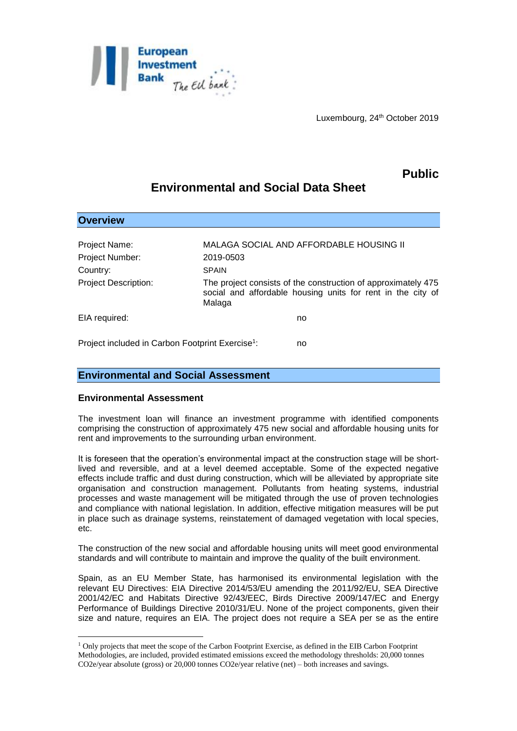

Luxembourg, 24<sup>th</sup> October 2019

# **Public**

# **Environmental and Social Data Sheet**

| <b>Overview</b>                                              |                                                                                                                                        |
|--------------------------------------------------------------|----------------------------------------------------------------------------------------------------------------------------------------|
|                                                              |                                                                                                                                        |
| Project Name:                                                | <b>MALAGA SOCIAL AND AFFORDABLE HOUSING II</b>                                                                                         |
| <b>Project Number:</b>                                       | 2019-0503                                                                                                                              |
| Country:                                                     | <b>SPAIN</b>                                                                                                                           |
| <b>Project Description:</b>                                  | The project consists of the construction of approximately 475<br>social and affordable housing units for rent in the city of<br>Malaga |
| EIA required:                                                | no                                                                                                                                     |
| Project included in Carbon Footprint Exercise <sup>1</sup> : | no                                                                                                                                     |

### **Environmental and Social Assessment**

### **Environmental Assessment**

1

The investment loan will finance an investment programme with identified components comprising the construction of approximately 475 new social and affordable housing units for rent and improvements to the surrounding urban environment.

It is foreseen that the operation's environmental impact at the construction stage will be shortlived and reversible, and at a level deemed acceptable. Some of the expected negative effects include traffic and dust during construction, which will be alleviated by appropriate site organisation and construction management. Pollutants from heating systems, industrial processes and waste management will be mitigated through the use of proven technologies and compliance with national legislation. In addition, effective mitigation measures will be put in place such as drainage systems, reinstatement of damaged vegetation with local species, etc.

The construction of the new social and affordable housing units will meet good environmental standards and will contribute to maintain and improve the quality of the built environment.

Spain, as an EU Member State, has harmonised its environmental legislation with the relevant EU Directives: EIA Directive 2014/53/EU amending the 2011/92/EU, SEA Directive 2001/42/EC and Habitats Directive 92/43/EEC, Birds Directive 2009/147/EC and Energy Performance of Buildings Directive 2010/31/EU. None of the project components, given their size and nature, requires an EIA. The project does not require a SEA per se as the entire

<sup>1</sup> Only projects that meet the scope of the Carbon Footprint Exercise, as defined in the EIB Carbon Footprint Methodologies, are included, provided estimated emissions exceed the methodology thresholds: 20,000 tonnes CO2e/year absolute (gross) or 20,000 tonnes CO2e/year relative (net) – both increases and savings.